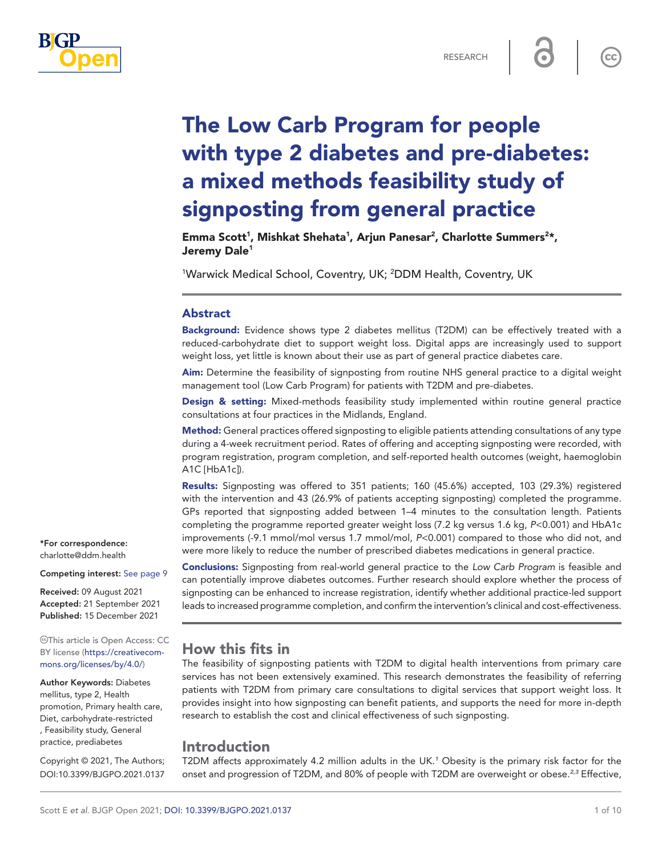

 $cc$ 

# The Low Carb Program for people with type 2 diabetes and pre-diabetes: a mixed methods feasibility study of signposting from general practice

Emma Scott<sup>1</sup>, Mishkat Shehata<sup>1</sup>, Arjun Panesar<sup>2</sup>, Charlotte Summers<sup>2\*</sup>, Jeremy Dale<sup>1</sup>

<sup>1</sup>Warwick Medical School, Coventry, UK; <sup>2</sup>DDM Health, Coventry, UK

#### Abstract

Background: Evidence shows type 2 diabetes mellitus (T2DM) can be effectively treated with a reduced-carbohydrate diet to support weight loss. Digital apps are increasingly used to support weight loss, yet little is known about their use as part of general practice diabetes care.

Aim: Determine the feasibility of signposting from routine NHS general practice to a digital weight management tool (Low Carb Program) for patients with T2DM and pre-diabetes.

Design & setting: Mixed-methods feasibility study implemented within routine general practice consultations at four practices in the Midlands, England.

Method: General practices offered signposting to eligible patients attending consultations of any type during a 4-week recruitment period. Rates of offering and accepting signposting were recorded, with program registration, program completion, and self-reported health outcomes (weight, haemoglobin A1C [HbA1c]).

Results: Signposting was offered to 351 patients; 160 (45.6%) accepted, 103 (29.3%) registered with the intervention and 43 (26.9% of patients accepting signposting) completed the programme. GPs reported that signposting added between 1–4 minutes to the consultation length. Patients completing the programme reported greater weight loss (7.2 kg versus 1.6 kg, *P*<0.001) and HbA1c improvements (-9.1 mmol/mol versus 1.7 mmol/mol, *P*<0.001) compared to those who did not, and were more likely to reduce the number of prescribed diabetes medications in general practice.

Conclusions: Signposting from real-world general practice to the *Low Carb Program* is feasible and can potentially improve diabetes outcomes. Further research should explore whether the process of signposting can be enhanced to increase registration, identify whether additional practice-led support leads to increased programme completion, and confirm the intervention's clinical and cost-effectiveness.

# How this fits in

The feasibility of signposting patients with T2DM to digital health interventions from primary care services has not been extensively examined. This research demonstrates the feasibility of referring patients with T2DM from primary care consultations to digital services that support weight loss. It provides insight into how signposting can benefit patients, and supports the need for more in-depth research to establish the cost and clinical effectiveness of such signposting.

# Introduction

T2DM affects approximately 4.2 million adults in the UK.*[1](#page-8-1)* Obesity is the primary risk factor for the onset and progression of T2DM, and 80% of people with T2DM are overweight or obese.*[2,3](#page-8-2)* Effective,

\*For correspondence: [charlotte@ddm.health](mailto:charlotte@ddm.health)

Competing interest: [See page 9](#page-8-0)

Received: 09 August 2021 Accepted: 21 September 2021 Published: 15 December 2021

This article is Open Access: CC BY license [\(https://creativecom](https://creativecommons.org/licenses/by/4.0/)[mons.org/licenses/by/4.0/\)](https://creativecommons.org/licenses/by/4.0/)

Author Keywords: Diabetes mellitus, type 2, Health promotion, Primary health care, Diet, carbohydrate-restricted , Feasibility study, General practice, prediabetes

Copyright © 2021, The Authors; DOI:10.3399/BJGPO.2021.0137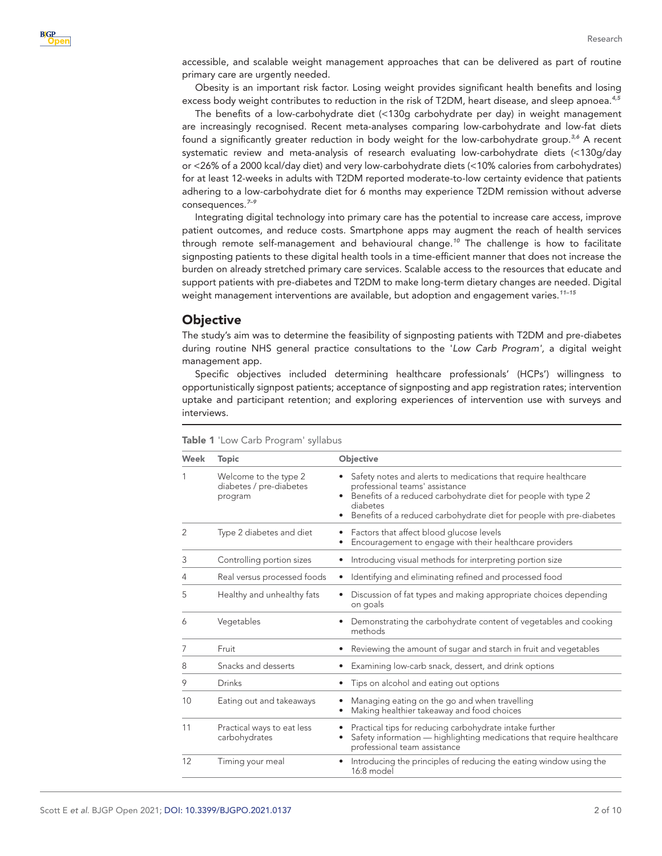accessible, and scalable weight management approaches that can be delivered as part of routine primary care are urgently needed.

Obesity is an important risk factor. Losing weight provides significant health benefits and losing excess body weight contributes to reduction in the risk of T2DM, heart disease, and sleep apnoea.*[4,5](#page-8-3)*

The benefits of a low-carbohydrate diet (<130g carbohydrate per day) in weight management are increasingly recognised. Recent meta-analyses comparing low-carbohydrate and low-fat diets found a significantly greater reduction in body weight for the low-carbohydrate group.*[3,6](#page-8-4)* A recent systematic review and meta-analysis of research evaluating low-carbohydrate diets (<130g/day or <26% of a 2000 kcal/day diet) and very low-carbohydrate diets (<10% calories from carbohydrates) for at least 12-weeks in adults with T2DM reported moderate-to-low certainty evidence that patients adhering to a low-carbohydrate diet for 6 months may experience T2DM remission without adverse consequences.*[7–9](#page-8-5)*

Integrating digital technology into primary care has the potential to increase care access, improve patient outcomes, and reduce costs. Smartphone apps may augment the reach of health services through remote self-management and behavioural change.*[10](#page-8-6)* The challenge is how to facilitate signposting patients to these digital health tools in a time-efficient manner that does not increase the burden on already stretched primary care services. Scalable access to the resources that educate and support patients with pre-diabetes and T2DM to make long-term dietary changes are needed. Digital weight management interventions are available, but adoption and engagement varies.*[11–15](#page-8-7)*

## **Objective**

The study's aim was to determine the feasibility of signposting patients with T2DM and pre-diabetes during routine NHS general practice consultations to the '*Low Carb Program',* a digital weight management app.

Specific objectives included determining healthcare professionals' (HCPs') willingness to opportunistically signpost patients; acceptance of signposting and app registration rates; intervention uptake and participant retention; and exploring experiences of intervention use with surveys and interviews.

| Week           | <b>Topic</b>                                                | Objective                                                                                                                                                                                                                                                           |
|----------------|-------------------------------------------------------------|---------------------------------------------------------------------------------------------------------------------------------------------------------------------------------------------------------------------------------------------------------------------|
| 1              | Welcome to the type 2<br>diabetes / pre-diabetes<br>program | Safety notes and alerts to medications that require healthcare<br>professional teams' assistance<br>Benefits of a reduced carbohydrate diet for people with type 2<br>diabetes<br>Benefits of a reduced carbohydrate diet for people with pre-diabetes<br>$\bullet$ |
| $\overline{2}$ | Type 2 diabetes and diet                                    | Factors that affect blood glucose levels<br>٠<br>Encouragement to engage with their healthcare providers                                                                                                                                                            |
| 3              | Controlling portion sizes                                   | Introducing visual methods for interpreting portion size<br>$\bullet$                                                                                                                                                                                               |
| 4              | Real versus processed foods                                 | Identifying and eliminating refined and processed food<br>$\bullet$                                                                                                                                                                                                 |
| 5              | Healthy and unhealthy fats                                  | Discussion of fat types and making appropriate choices depending<br>on goals                                                                                                                                                                                        |
| 6              | Vegetables                                                  | Demonstrating the carbohydrate content of vegetables and cooking<br>methods                                                                                                                                                                                         |
| 7              | Fruit                                                       | Reviewing the amount of sugar and starch in fruit and vegetables                                                                                                                                                                                                    |
| 8              | Snacks and desserts                                         | Examining low-carb snack, dessert, and drink options                                                                                                                                                                                                                |
| 9              | Drinks                                                      | Tips on alcohol and eating out options                                                                                                                                                                                                                              |
| 10             | Eating out and takeaways                                    | Managing eating on the go and when travelling<br>Making healthier takeaway and food choices                                                                                                                                                                         |
| 11             | Practical ways to eat less<br>carbohydrates                 | Practical tips for reducing carbohydrate intake further<br>Safety information - highlighting medications that require healthcare<br>professional team assistance                                                                                                    |
| 12             | Timing your meal                                            | Introducing the principles of reducing the eating window using the<br>16:8 model                                                                                                                                                                                    |

<span id="page-1-0"></span>Table 1 'Low Carb Program' syllabus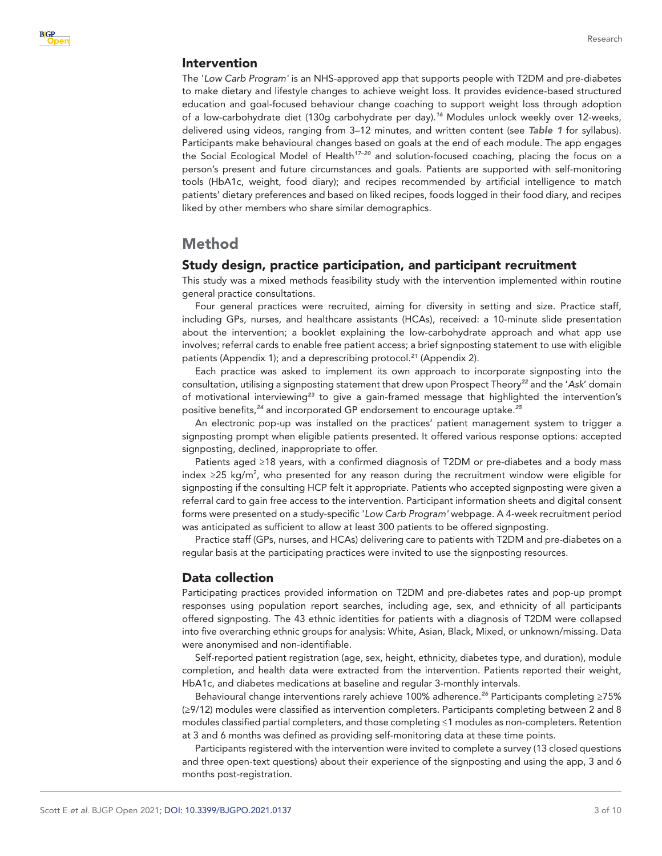#### Intervention

The '*Low Carb Program'* is an NHS-approved app that supports people with T2DM and pre-diabetes to make dietary and lifestyle changes to achieve weight loss. It provides evidence-based structured education and goal-focused behaviour change coaching to support weight loss through adoption of a low-carbohydrate diet (130g carbohydrate per day).*[16](#page-8-8)* Modules unlock weekly over 12-weeks, delivered using videos, ranging from 3–12 minutes, and written content (see *[Table 1](#page-1-0)* for syllabus). Participants make behavioural changes based on goals at the end of each module. The app engages the Social Ecological Model of Health*[17–20](#page-8-9)* and solution-focused coaching, placing the focus on a person's present and future circumstances and goals. Patients are supported with self-monitoring tools (HbA1c, weight, food diary); and recipes recommended by artificial intelligence to match patients' dietary preferences and based on liked recipes, foods logged in their food diary, and recipes liked by other members who share similar demographics.

## Method

#### Study design, practice participation, and participant recruitment

This study was a mixed methods feasibility study with the intervention implemented within routine general practice consultations.

Four general practices were recruited, aiming for diversity in setting and size. Practice staff, including GPs, nurses, and healthcare assistants (HCAs), received: a 10-minute slide presentation about the intervention; a booklet explaining the low-carbohydrate approach and what app use involves; referral cards to enable free patient access; a brief signposting statement to use with eligible patients (Appendix 1); and a deprescribing protocol.*[21](#page-8-10)* (Appendix 2).

Each practice was asked to implement its own approach to incorporate signposting into the consultation, utilising a signposting statement that drew upon Prospect Theory*[22](#page-9-0)* and the '*Ask*' domain of motivational interviewing*[23](#page-9-1)* to give a gain-framed message that highlighted the intervention's positive benefits,*[24](#page-9-2)* and incorporated GP endorsement to encourage uptake.*[25](#page-9-3)*

An electronic pop-up was installed on the practices' patient management system to trigger a signposting prompt when eligible patients presented. It offered various response options: accepted signposting, declined, inappropriate to offer.

Patients aged ≥18 years, with a confirmed diagnosis of T2DM or pre-diabetes and a body mass index ≥25 kg/m<sup>2</sup>, who presented for any reason during the recruitment window were eligible for signposting if the consulting HCP felt it appropriate. Patients who accepted signposting were given a referral card to gain free access to the intervention. Participant information sheets and digital consent forms were presented on a study-specific '*Low Carb Program'* webpage. A 4-week recruitment period was anticipated as sufficient to allow at least 300 patients to be offered signposting.

Practice staff (GPs, nurses, and HCAs) delivering care to patients with T2DM and pre-diabetes on a regular basis at the participating practices were invited to use the signposting resources.

## Data collection

Participating practices provided information on T2DM and pre-diabetes rates and pop-up prompt responses using population report searches, including age, sex, and ethnicity of all participants offered signposting. The 43 ethnic identities for patients with a diagnosis of T2DM were collapsed into five overarching ethnic groups for analysis: White, Asian, Black, Mixed, or unknown/missing. Data were anonymised and non-identifiable.

Self-reported patient registration (age, sex, height, ethnicity, diabetes type, and duration), module completion, and health data were extracted from the intervention. Patients reported their weight, HbA1c, and diabetes medications at baseline and regular 3-monthly intervals.

Behavioural change interventions rarely achieve 100% adherence.*[26](#page-9-4)* Participants completing ≥75% (≥9/12) modules were classified as intervention completers. Participants completing between 2 and 8 modules classified partial completers, and those completing ≤1 modules as non-completers. Retention at 3 and 6 months was defined as providing self-monitoring data at these time points.

Participants registered with the intervention were invited to complete a survey (13 closed questions and three open-text questions) about their experience of the signposting and using the app, 3 and 6 months post-registration.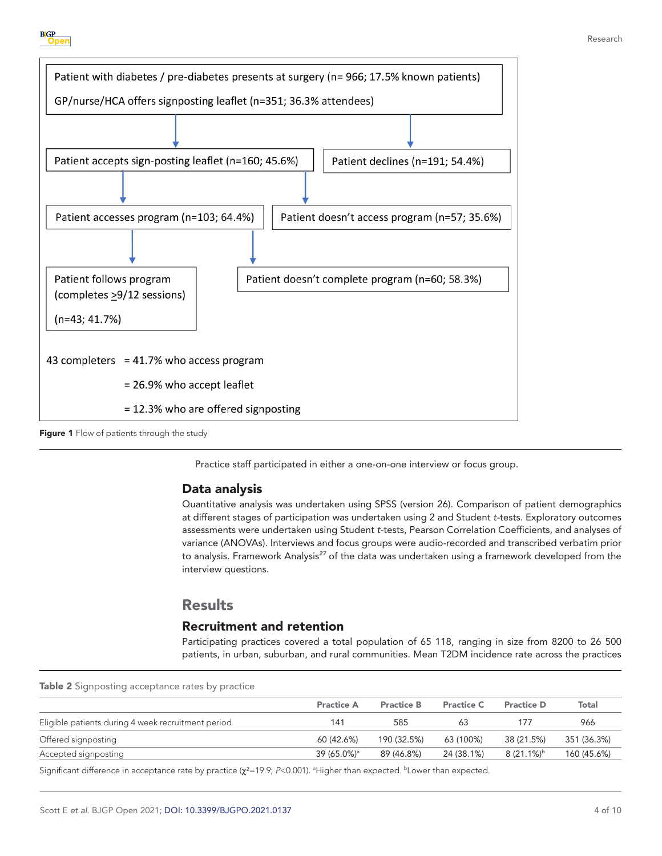



<span id="page-3-0"></span>Figure 1 Flow of patients through the study

Practice staff participated in either a one-on-one interview or focus group.

## Data analysis

Quantitative analysis was undertaken using SPSS (version 26). Comparison of patient demographics at different stages of participation was undertaken using 2 and Student *t-*tests. Exploratory outcomes assessments were undertaken using Student *t-*tests, Pearson Correlation Coefficients, and analyses of variance (ANOVAs). Interviews and focus groups were audio-recorded and transcribed verbatim prior to analysis. Framework Analysis*[27](#page-9-5)* of the data was undertaken using a framework developed from the interview questions.

# Results

## Recruitment and retention

Participating practices covered a total population of 65 118, ranging in size from 8200 to 26 500 patients, in urban, suburban, and rural communities. Mean T2DM incidence rate across the practices

<span id="page-3-1"></span>

|  |  | Table 2 Signposting acceptance rates by practice |  |  |
|--|--|--------------------------------------------------|--|--|
|  |  |                                                  |  |  |

|                                                    | <b>Practice A</b>       | <b>Practice B</b> | <b>Practice C</b> | <b>Practice D</b>   | Total       |
|----------------------------------------------------|-------------------------|-------------------|-------------------|---------------------|-------------|
| Eligible patients during 4 week recruitment period | 141                     | 585               | 63                | 177                 | 966         |
| Offered signposting                                | 60 (42.6%)              | 190 (32.5%)       | 63 (100%)         | 38 (21.5%)          | 351 (36.3%) |
| Accepted signposting                               | 39 (65.0%) <sup>a</sup> | 89 (46.8%)        | 24 (38.1%)        | $8(21.1\%)^{\rm b}$ | 160 (45.6%) |

Significant difference in acceptance rate by practice (χ<sup>2</sup>=19.9; P<0.001). <sup>a</sup>Higher than expected. <sup>b</sup>Lower than expected.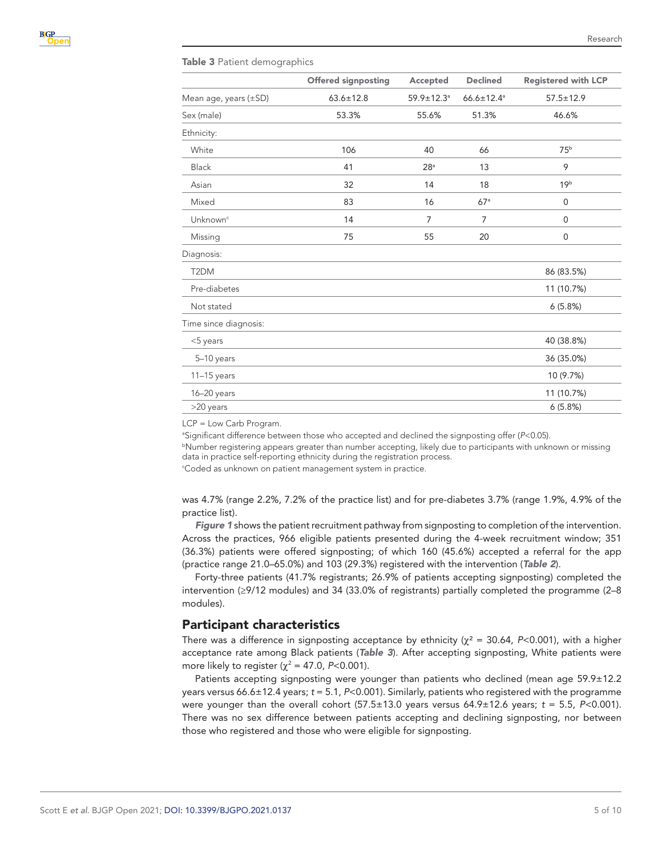#### <span id="page-4-0"></span>Table 3 Patient demographics

|                       | <b>Offered signposting</b> | Accepted                     | <b>Declined</b>              | <b>Registered with LCP</b> |  |
|-----------------------|----------------------------|------------------------------|------------------------------|----------------------------|--|
| Mean age, years (±SD) | $63.6 \pm 12.8$            | $59.9 \pm 12.3$ <sup>a</sup> | $66.6 \pm 12.4$ <sup>a</sup> | $57.5 \pm 12.9$            |  |
| Sex (male)            | 53.3%                      | 55.6%                        | 51.3%                        | 46.6%                      |  |
| Ethnicity:            |                            |                              |                              |                            |  |
| White                 | 106                        | 40                           | 66                           | 75 <sup>b</sup>            |  |
| Black                 | 41                         | 28 <sup>a</sup>              | 13                           | 9                          |  |
| Asian                 | 32                         | 14                           | 18                           | 19 <sup>b</sup>            |  |
| Mixed                 | 83                         | 16                           | 67 <sup>a</sup>              | 0                          |  |
| Unknown <sup>c</sup>  | 14                         | 7                            | $\overline{7}$               | 0                          |  |
| Missing               | 75                         |                              | 20                           | 0                          |  |
| Diagnosis:            |                            |                              |                              |                            |  |
| T <sub>2</sub> DM     |                            |                              |                              | 86 (83.5%)                 |  |
| Pre-diabetes          |                            |                              |                              | 11 (10.7%)                 |  |
| Not stated            |                            |                              |                              | 6(5.8%)                    |  |
| Time since diagnosis: |                            |                              |                              |                            |  |
| $<$ 5 years           |                            |                              |                              | 40 (38.8%)                 |  |
| 5-10 years            |                            |                              |                              | 36 (35.0%)                 |  |
| $11-15$ years         |                            |                              |                              | 10 (9.7%)                  |  |
| 16-20 years           |                            |                              |                              | 11 (10.7%)                 |  |
| >20 years             |                            |                              |                              | 6(5.8%)                    |  |

LCP = Low Carb Program.

a Significant difference between those who accepted and declined the signposting offer (*P*<0.05).

b Number registering appears greater than number accepting, likely due to participants with unknown or missing data in practice self-reporting ethnicity during the registration process.

c Coded as unknown on patient management system in practice.

was 4.7% (range 2.2%, 7.2% of the practice list) and for pre-diabetes 3.7% (range 1.9%, 4.9% of the practice list).

*[Figure 1](#page-3-0)* shows the patient recruitment pathway from signposting to completion of the intervention. Across the practices, 966 eligible patients presented during the 4-week recruitment window; 351 (36.3%) patients were offered signposting; of which 160 (45.6%) accepted a referral for the app (practice range 21.0–65.0%) and 103 (29.3%) registered with the intervention (*[Table 2](#page-3-1)*).

Forty-three patients (41.7% registrants; 26.9% of patients accepting signposting) completed the intervention (≥9/12 modules) and 34 (33.0% of registrants) partially completed the programme (2–8 modules).

#### Participant characteristics

There was a difference in signposting acceptance by ethnicity  $(\chi^2 = 30.64, P < 0.001)$ , with a higher acceptance rate among Black patients (*[Table 3](#page-4-0)*). After accepting signposting, White patients were more likely to register ( $\chi^2$  = 47.0, *P*<0.001).

Patients accepting signposting were younger than patients who declined (mean age 59.9±12.2 years versus 66.6±12.4 years; *t* = 5.1, *P*<0.001). Similarly, patients who registered with the programme were younger than the overall cohort  $(57.5\pm13.0$  years versus  $64.9\pm12.6$  years;  $t = 5.5$ ,  $P<0.001$ ). There was no sex difference between patients accepting and declining signposting, nor between those who registered and those who were eligible for signposting.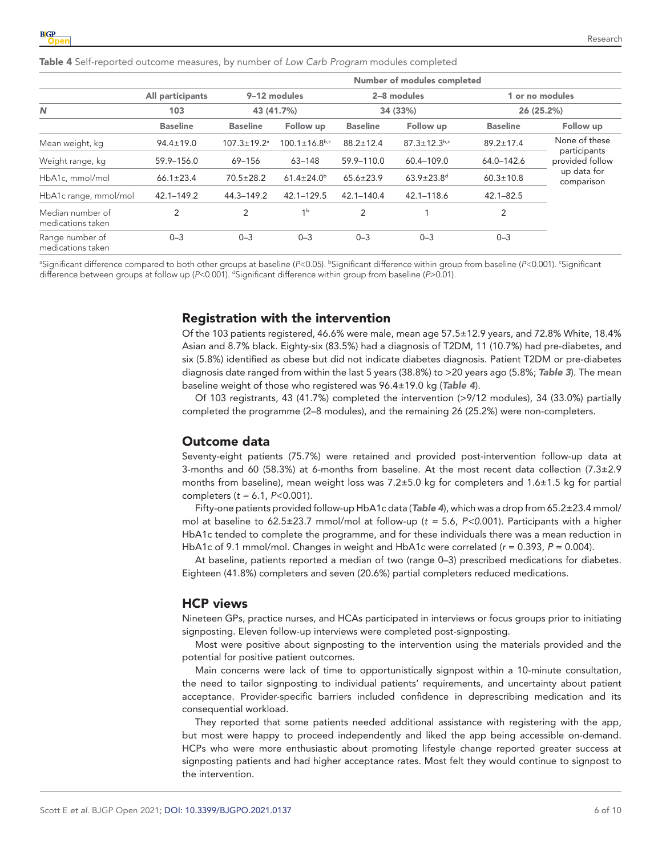<span id="page-5-0"></span>Table 4 Self-reported outcome measures, by number of *Low Carb Program* modules completed

|                                       |                  | Number of modules completed   |                         |                         |                              |                               |                               |
|---------------------------------------|------------------|-------------------------------|-------------------------|-------------------------|------------------------------|-------------------------------|-------------------------------|
|                                       | All participants | 9-12 modules<br>43 (41.7%)    |                         | 2-8 modules<br>34 (33%) |                              | 1 or no modules<br>26 (25.2%) |                               |
| N                                     | 103              |                               |                         |                         |                              |                               |                               |
|                                       | <b>Baseline</b>  | <b>Baseline</b>               | Follow up               | <b>Baseline</b>         | Follow up                    | <b>Baseline</b>               | Follow up                     |
| Mean weight, kg                       | $94.4 \pm 19.0$  | $107.3 \pm 19.2$ <sup>a</sup> | $100.1 \pm 16.8^{b,c}$  | $88.2 \pm 12.4$         | $87.3 \pm 12.3$ b,c          | $89.2 \pm 17.4$               | None of these<br>participants |
| Weight range, kg                      | 59.9-156.0       | 69-156                        | $63 - 148$              | 59.9-110.0              | 60.4-109.0                   | 64.0-142.6                    | provided follow               |
| HbA1c, mmol/mol                       | $66.1 \pm 23.4$  | $70.5 \pm 28.2$               | $61.4 \pm 24.0^{\circ}$ | $65.6 \pm 23.9$         | $63.9 \pm 23.8$ <sup>d</sup> | $60.3 \pm 10.8$               | up data for<br>comparison     |
| HbA1c range, mmol/mol                 | 42.1-149.2       | 44.3-149.2                    | $42.1 - 129.5$          | $42.1 - 140.4$          | 42.1-118.6                   | $42.1 - 82.5$                 |                               |
| Median number of<br>medications taken | $\overline{2}$   | 2                             | 1 <sup>b</sup>          | $\overline{2}$          |                              | 2                             |                               |
| Range number of<br>medications taken  | $0 - 3$          | $0 - 3$                       | $0 - 3$                 | $0 - 3$                 | $0 - 3$                      | $0 - 3$                       |                               |

<sup>a</sup>Significant difference compared to both other groups at baseline (*P<*0.05). <sup>b</sup>Significant difference within group from baseline (*P<*0.001). 'Significant difference between groups at follow up (*P*<0.001). d Significant difference within group from baseline (*P*>0.01)*.*

## Registration with the intervention

Of the 103 patients registered, 46.6% were male, mean age 57.5±12.9 years, and 72.8% White, 18.4% Asian and 8.7% black. Eighty-six (83.5%) had a diagnosis of T2DM, 11 (10.7%) had pre-diabetes, and six (5.8%) identified as obese but did not indicate diabetes diagnosis. Patient T2DM or pre-diabetes diagnosis date ranged from within the last 5 years (38.8%) to >20 years ago (5.8%; *[Table 3](#page-4-0)*). The mean baseline weight of those who registered was 96.4±19.0 kg (*[Table 4](#page-5-0)*).

Of 103 registrants, 43 (41.7%) completed the intervention (>9/12 modules), 34 (33.0%) partially completed the programme (2–8 modules), and the remaining 26 (25.2%) were non-completers.

#### Outcome data

Seventy-eight patients (75.7%) were retained and provided post-intervention follow-up data at 3-months and 60 (58.3%) at 6-months from baseline. At the most recent data collection (7.3±2.9 months from baseline), mean weight loss was 7.2±5.0 kg for completers and 1.6±1.5 kg for partial completers (*t =* 6.1, *P*<0.001).

Fifty-one patients provided follow-up HbA1c data (*[Table 4](#page-5-0)*), which was a drop from 65.2±23.4 mmol/ mol at baseline to 62.5±23.7 mmol/mol at follow-up (*t =* 5.6, *P<0*.001). Participants with a higher HbA1c tended to complete the programme, and for these individuals there was a mean reduction in HbA1c of 9.1 mmol/mol. Changes in weight and HbA1c were correlated ( $r = 0.393$ ,  $P = 0.004$ ).

At baseline, patients reported a median of two (range 0–3) prescribed medications for diabetes. Eighteen (41.8%) completers and seven (20.6%) partial completers reduced medications.

#### HCP views

Nineteen GPs, practice nurses, and HCAs participated in interviews or focus groups prior to initiating signposting. Eleven follow-up interviews were completed post-signposting.

Most were positive about signposting to the intervention using the materials provided and the potential for positive patient outcomes.

Main concerns were lack of time to opportunistically signpost within a 10-minute consultation, the need to tailor signposting to individual patients' requirements, and uncertainty about patient acceptance. Provider-specific barriers included confidence in deprescribing medication and its consequential workload.

They reported that some patients needed additional assistance with registering with the app, but most were happy to proceed independently and liked the app being accessible on-demand. HCPs who were more enthusiastic about promoting lifestyle change reported greater success at signposting patients and had higher acceptance rates. Most felt they would continue to signpost to the intervention.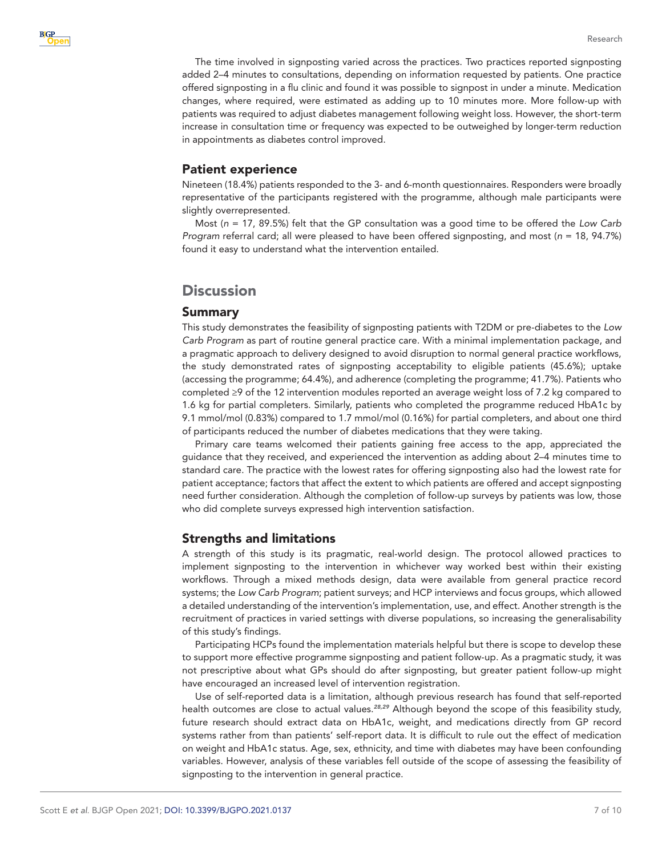

Research

The time involved in signposting varied across the practices. Two practices reported signposting added 2–4 minutes to consultations, depending on information requested by patients. One practice offered signposting in a flu clinic and found it was possible to signpost in under a minute. Medication changes, where required, were estimated as adding up to 10 minutes more. More follow-up with patients was required to adjust diabetes management following weight loss. However, the short-term increase in consultation time or frequency was expected to be outweighed by longer-term reduction in appointments as diabetes control improved.

## Patient experience

Nineteen (18.4%) patients responded to the 3- and 6-month questionnaires. Responders were broadly representative of the participants registered with the programme, although male participants were slightly overrepresented.

Most (*n* = 17, 89.5%) felt that the GP consultation was a good time to be offered the *Low Carb Program* referral card; all were pleased to have been offered signposting, and most (*n* = 18, 94.7%) found it easy to understand what the intervention entailed.

# **Discussion**

## Summary

This study demonstrates the feasibility of signposting patients with T2DM or pre-diabetes to the *Low Carb Program* as part of routine general practice care. With a minimal implementation package, and a pragmatic approach to delivery designed to avoid disruption to normal general practice workflows, the study demonstrated rates of signposting acceptability to eligible patients (45.6%); uptake (accessing the programme; 64.4%), and adherence (completing the programme; 41.7%). Patients who completed ≥9 of the 12 intervention modules reported an average weight loss of 7.2 kg compared to 1.6 kg for partial completers. Similarly, patients who completed the programme reduced HbA1c by 9.1 mmol/mol (0.83%) compared to 1.7 mmol/mol (0.16%) for partial completers, and about one third of participants reduced the number of diabetes medications that they were taking.

Primary care teams welcomed their patients gaining free access to the app, appreciated the guidance that they received, and experienced the intervention as adding about 2–4 minutes time to standard care. The practice with the lowest rates for offering signposting also had the lowest rate for patient acceptance; factors that affect the extent to which patients are offered and accept signposting need further consideration. Although the completion of follow-up surveys by patients was low, those who did complete surveys expressed high intervention satisfaction.

## Strengths and limitations

A strength of this study is its pragmatic, real-world design. The protocol allowed practices to implement signposting to the intervention in whichever way worked best within their existing workflows. Through a mixed methods design, data were available from general practice record systems; the *Low Carb Program*; patient surveys; and HCP interviews and focus groups, which allowed a detailed understanding of the intervention's implementation, use, and effect. Another strength is the recruitment of practices in varied settings with diverse populations, so increasing the generalisability of this study's findings.

Participating HCPs found the implementation materials helpful but there is scope to develop these to support more effective programme signposting and patient follow-up. As a pragmatic study, it was not prescriptive about what GPs should do after signposting, but greater patient follow-up might have encouraged an increased level of intervention registration.

Use of self-reported data is a limitation, although previous research has found that self-reported health outcomes are close to actual values.*[28,29](#page-9-6)* Although beyond the scope of this feasibility study, future research should extract data on HbA1c, weight, and medications directly from GP record systems rather from than patients' self-report data. It is difficult to rule out the effect of medication on weight and HbA1c status. Age, sex, ethnicity, and time with diabetes may have been confounding variables. However, analysis of these variables fell outside of the scope of assessing the feasibility of signposting to the intervention in general practice.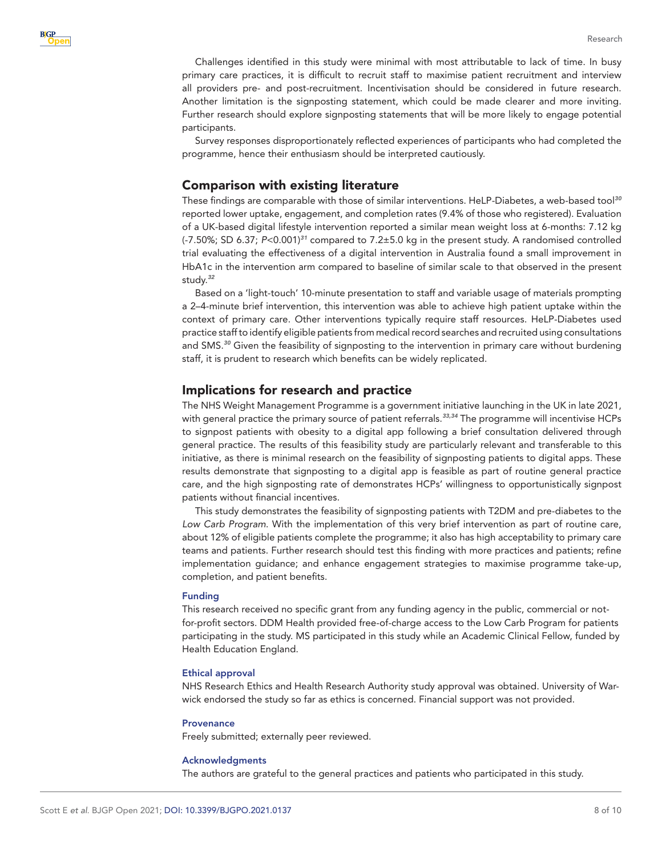Challenges identified in this study were minimal with most attributable to lack of time. In busy primary care practices, it is difficult to recruit staff to maximise patient recruitment and interview all providers pre- and post-recruitment. Incentivisation should be considered in future research. Another limitation is the signposting statement, which could be made clearer and more inviting. Further research should explore signposting statements that will be more likely to engage potential participants.

Survey responses disproportionately reflected experiences of participants who had completed the programme, hence their enthusiasm should be interpreted cautiously.

## Comparison with existing literature

These findings are comparable with those of similar interventions. HeLP-Diabetes, a web-based tool*[30](#page-9-7)* reported lower uptake, engagement, and completion rates (9.4% of those who registered). Evaluation of a UK-based digital lifestyle intervention reported a similar mean weight loss at 6-months: 7.12 kg (-7.50%; SD 6.37; *P*<0.001)*[31](#page-9-8)* compared to 7.2±5.0 kg in the present study. A randomised controlled trial evaluating the effectiveness of a digital intervention in Australia found a small improvement in HbA1c in the intervention arm compared to baseline of similar scale to that observed in the present study.*[32](#page-9-9)*

Based on a 'light-touch' 10-minute presentation to staff and variable usage of materials prompting a 2–4-minute brief intervention, this intervention was able to achieve high patient uptake within the context of primary care. Other interventions typically require staff resources. HeLP-Diabetes used practice staff to identify eligible patients from medical record searches and recruited using consultations and SMS.*[30](#page-9-7)* Given the feasibility of signposting to the intervention in primary care without burdening staff, it is prudent to research which benefits can be widely replicated.

#### Implications for research and practice

The NHS Weight Management Programme is a government initiative launching in the UK in late 2021, with general practice the primary source of patient referrals.*[33,34](#page-9-10)* The programme will incentivise HCPs to signpost patients with obesity to a digital app following a brief consultation delivered through general practice. The results of this feasibility study are particularly relevant and transferable to this initiative, as there is minimal research on the feasibility of signposting patients to digital apps. These results demonstrate that signposting to a digital app is feasible as part of routine general practice care, and the high signposting rate of demonstrates HCPs' willingness to opportunistically signpost patients without financial incentives.

This study demonstrates the feasibility of signposting patients with T2DM and pre-diabetes to the *Low Carb Program*. With the implementation of this very brief intervention as part of routine care, about 12% of eligible patients complete the programme; it also has high acceptability to primary care teams and patients. Further research should test this finding with more practices and patients; refine implementation guidance; and enhance engagement strategies to maximise programme take-up, completion, and patient benefits.

#### Funding

This research received no specific grant from any funding agency in the public, commercial or notfor-profit sectors. DDM Health provided free-of-charge access to the Low Carb Program for patients participating in the study. MS participated in this study while an Academic Clinical Fellow, funded by Health Education England.

#### Ethical approval

NHS Research Ethics and Health Research Authority study approval was obtained. University of Warwick endorsed the study so far as ethics is concerned. Financial support was not provided.

#### **Provenance**

Freely submitted; externally peer reviewed.

#### Acknowledgments

The authors are grateful to the general practices and patients who participated in this study.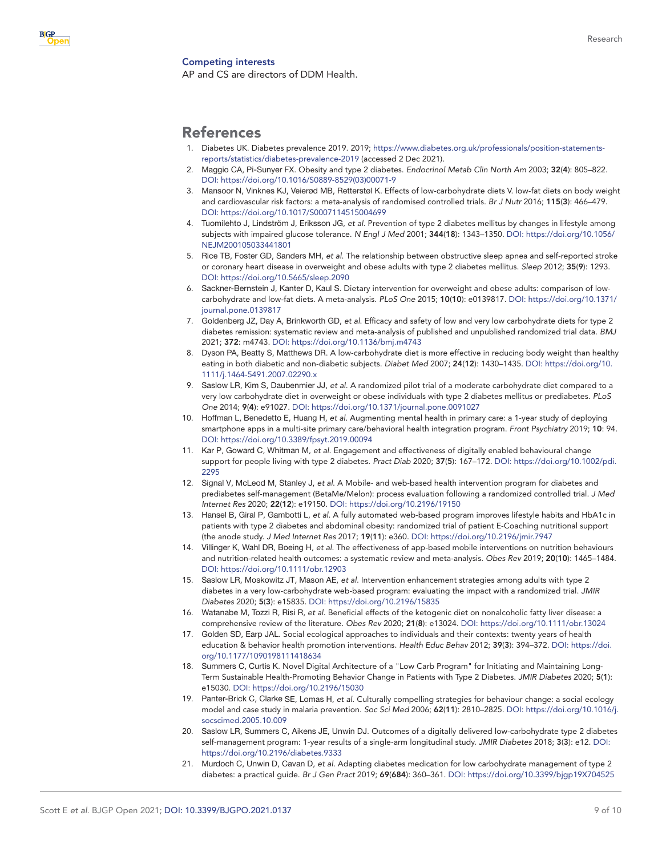

#### <span id="page-8-0"></span>Competing interests

AP and CS are directors of DDM Health.

# References

- <span id="page-8-1"></span>1. Diabetes UK. Diabetes prevalence 2019. 2019; [https://www.diabetes.org.uk/professionals/position-statements](https://www.diabetes.org.uk/professionals/position-statements-reports/statistics/diabetes-prevalence-2019)[reports/statistics/diabetes-prevalence-2019](https://www.diabetes.org.uk/professionals/position-statements-reports/statistics/diabetes-prevalence-2019) (accessed 2 Dec 2021).
- <span id="page-8-2"></span>2. Maggio CA, Pi-Sunyer FX. Obesity and type 2 diabetes. *Endocrinol Metab Clin North Am* 2003; 32(4): 805–822. DOI: [https://doi.org/10.1016/S0889-8529\(03\)00071-9](https://doi.org/10.1016/S0889-8529(03)00071-9)
- <span id="page-8-4"></span>3. Mansoor N, Vinknes KJ, Veierød MB, Retterstøl K. Effects of low-carbohydrate diets V. low-fat diets on body weight and cardiovascular risk factors: a meta-analysis of randomised controlled trials. *Br J Nutr* 2016; 115(3): 466–479. DOI:<https://doi.org/10.1017/S0007114515004699>
- <span id="page-8-3"></span>4. Tuomilehto J, Lindström J, Eriksson JG, *et al*. Prevention of type 2 diabetes mellitus by changes in lifestyle among subjects with impaired glucose tolerance. *N Engl J Med* 2001; 344(18): 1343–1350. DOI: [https://doi.org/10.1056/](https://doi.org/10.1056/NEJM200105033441801) [NEJM200105033441801](https://doi.org/10.1056/NEJM200105033441801)
- 5. Rice TB, Foster GD, Sanders MH, *et al*. The relationship between obstructive sleep apnea and self-reported stroke or coronary heart disease in overweight and obese adults with type 2 diabetes mellitus. *Sleep* 2012; 35(9): 1293. DOI:<https://doi.org/10.5665/sleep.2090>
- 6. Sackner-Bernstein J, Kanter D, Kaul S. Dietary intervention for overweight and obese adults: comparison of lowcarbohydrate and low-fat diets. A meta-analysis. *PLoS One* 2015; 10(10): e0139817. DOI: [https://doi.org/10.1371/](https://doi.org/10.1371/journal.pone.0139817) [journal.pone.0139817](https://doi.org/10.1371/journal.pone.0139817)
- <span id="page-8-5"></span>7. Goldenberg JZ, Day A, Brinkworth GD, *et al*. Efficacy and safety of low and very low carbohydrate diets for type 2 diabetes remission: systematic review and meta-analysis of published and unpublished randomized trial data. *BMJ* 2021; 372: m4743. DOI:<https://doi.org/10.1136/bmj.m4743>
- 8. Dyson PA, Beatty S, Matthews DR. A low-carbohydrate diet is more effective in reducing body weight than healthy eating in both diabetic and non-diabetic subjects. *Diabet Med* 2007; 24(12): 1430–1435. DOI: [https://doi.org/10.](https://doi.org/10.1111/j.1464-5491.2007.02290.x) [1111/j.1464-5491.2007.02290.x](https://doi.org/10.1111/j.1464-5491.2007.02290.x)
- 9. Saslow LR, Kim S, Daubenmier JJ, *et al*. A randomized pilot trial of a moderate carbohydrate diet compared to a very low carbohydrate diet in overweight or obese individuals with type 2 diabetes mellitus or prediabetes. *PLoS One* 2014; 9(4): e91027. DOI:<https://doi.org/10.1371/journal.pone.0091027>
- <span id="page-8-6"></span>10. Hoffman L, Benedetto E, Huang H, *et al*. Augmenting mental health in primary care: a 1-year study of deploying smartphone apps in a multi-site primary care/behavioral health integration program. *Front Psychiatry* 2019; 10: 94. DOI:<https://doi.org/10.3389/fpsyt.2019.00094>
- <span id="page-8-7"></span>11. Kar P, Goward C, Whitman M, *et al*. Engagement and effectiveness of digitally enabled behavioural change support for people living with type 2 diabetes. *Pract Diab* 2020; 37(5): 167–172. DOI: [https://doi.org/10.1002/pdi.](https://doi.org/10.1002/pdi.2295) [2295](https://doi.org/10.1002/pdi.2295)
- 12. Signal V, McLeod M, Stanley J, *et al*. A Mobile- and web-based health intervention program for diabetes and prediabetes self-management (BetaMe/Melon): process evaluation following a randomized controlled trial. *J Med Internet Res* 2020; 22(12): e19150. DOI:<https://doi.org/10.2196/19150>
- 13. Hansel B, Giral P, Gambotti L, *et al*. A fully automated web-based program improves lifestyle habits and HbA1c in patients with type 2 diabetes and abdominal obesity: randomized trial of patient E-Coaching nutritional support (the anode study. *J Med Internet Res* 2017; 19(11): e360. DOI: <https://doi.org/10.2196/jmir.7947>
- 14. Villinger K, Wahl DR, Boeing H, *et al*. The effectiveness of app-based mobile interventions on nutrition behaviours and nutrition-related health outcomes: a systematic review and meta-analysis. *Obes Rev* 2019; 20(10): 1465–1484. DOI:<https://doi.org/10.1111/obr.12903>
- 15. Saslow LR, Moskowitz JT, Mason AE, *et al*. Intervention enhancement strategies among adults with type 2 diabetes in a very low-carbohydrate web-based program: evaluating the impact with a randomized trial. *JMIR Diabetes* 2020; 5(3): e15835. DOI: <https://doi.org/10.2196/15835>
- <span id="page-8-8"></span>16. Watanabe M, Tozzi R, Risi R, *et al*. Beneficial effects of the ketogenic diet on nonalcoholic fatty liver disease: a comprehensive review of the literature. *Obes Rev* 2020; 21(8): e13024. DOI:<https://doi.org/10.1111/obr.13024>
- <span id="page-8-9"></span>17. Golden SD, Earp JAL. Social ecological approaches to individuals and their contexts: twenty years of health education & behavior health promotion interventions. *Health Educ Behav* 2012; 39(3): 394–372. DOI: [https://doi.](https://doi.org/10.1177/1090198111418634) [org/10.1177/1090198111418634](https://doi.org/10.1177/1090198111418634)
- 18. Summers C, Curtis K. Novel Digital Architecture of a "Low Carb Program" for Initiating and Maintaining Long-Term Sustainable Health-Promoting Behavior Change in Patients with Type 2 Diabetes. *JMIR Diabetes* 2020; 5(1): e15030. DOI: <https://doi.org/10.2196/15030>
- 19. Panter-Brick C, Clarke SE, Lomas H, *et al*. Culturally compelling strategies for behaviour change: a social ecology model and case study in malaria prevention. *Soc Sci Med* 2006; 62(11): 2810–2825. DOI: [https://doi.org/10.1016/j.](https://doi.org/10.1016/j.socscimed.2005.10.009) [socscimed.2005.10.009](https://doi.org/10.1016/j.socscimed.2005.10.009)
- 20. Saslow LR, Summers C, Aikens JE, Unwin DJ. Outcomes of a digitally delivered low-carbohydrate type 2 diabetes self-management program: 1-year results of a single-arm longitudinal study. *JMIR Diabetes* 2018; 3(3): e12. DOI: <https://doi.org/10.2196/diabetes.9333>
- <span id="page-8-10"></span>21. Murdoch C, Unwin D, Cavan D, *et al*. Adapting diabetes medication for low carbohydrate management of type 2 diabetes: a practical guide. *Br J Gen Pract* 2019; 69(684): 360–361. DOI: <https://doi.org/10.3399/bjgp19X704525>